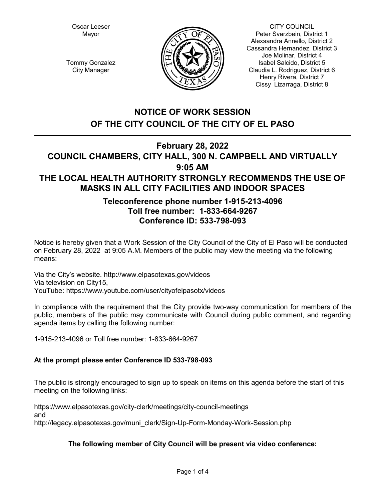Oscar Leeser Mayor



CITY COUNCIL Peter Svarzbein, District 1 Alexsandra Annello, District 2 Cassandra Hernandez, District 3 Joe Molinar, District 4 Isabel Salcido, District 5 Claudia L. Rodriguez, District 6 Henry Rivera, District 7 Cissy Lizarraga, District 8

Tommy Gonzalez City Manager

# **NOTICE OF WORK SESSION OF THE CITY COUNCIL OF THE CITY OF EL PASO**

# **February 28, 2022**

## **COUNCIL CHAMBERS, CITY HALL, 300 N. CAMPBELL AND VIRTUALLY 9:05 AM THE LOCAL HEALTH AUTHORITY STRONGLY RECOMMENDS THE USE OF MASKS IN ALL CITY FACILITIES AND INDOOR SPACES**

## **Teleconference phone number 1-915-213-4096 Toll free number: 1-833-664-9267 Conference ID: 533-798-093**

Notice is hereby given that a Work Session of the City Council of the City of El Paso will be conducted on February 28, 2022 at 9:05 A.M. Members of the public may view the meeting via the following means:

Via the City's website. http://www.elpasotexas.gov/videos Via television on City15, YouTube: https://www.youtube.com/user/cityofelpasotx/videos

In compliance with the requirement that the City provide two-way communication for members of the public, members of the public may communicate with Council during public comment, and regarding agenda items by calling the following number:

1-915-213-4096 or Toll free number: 1-833-664-9267

## **At the prompt please enter Conference ID 533-798-093**

The public is strongly encouraged to sign up to speak on items on this agenda before the start of this meeting on the following links:

https://www.elpasotexas.gov/city-clerk/meetings/city-council-meetings and http://legacy.elpasotexas.gov/muni\_clerk/Sign-Up-Form-Monday-Work-Session.php

## **The following member of City Council will be present via video conference:**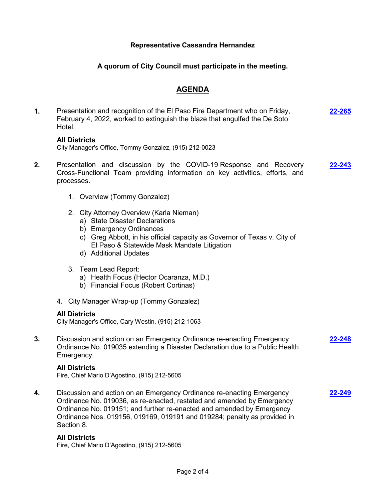#### **Representative Cassandra Hernandez**

### **A quorum of City Council must participate in the meeting.**

### **AGENDA**

**1.** Presentation and recognition of the El Paso Fire Department who on Friday, February 4, 2022, worked to extinguish the blaze that engulfed the De Soto Hotel. **[22-265](http://elpasotexas.legistar.com/gateway.aspx?m=l&id=/matter.aspx?key=6729)**

#### **All Districts**

City Manager's Office, Tommy Gonzalez, (915) 212-0023

- **2.** Presentation and discussion by the COVID-19 Response and Recovery Cross-Functional Team providing information on key activities, efforts, and processes. **[22-243](http://elpasotexas.legistar.com/gateway.aspx?m=l&id=/matter.aspx?key=6707)**
	- 1. Overview (Tommy Gonzalez)
	- 2. City Attorney Overview (Karla Nieman)
		- a) State Disaster Declarations
		- b) Emergency Ordinances
		- c) Greg Abbott, in his official capacity as Governor of Texas v. City of El Paso & Statewide Mask Mandate Litigation
		- d) Additional Updates
	- 3. Team Lead Report:
		- a) Health Focus (Hector Ocaranza, M.D.)
		- b) Financial Focus (Robert Cortinas)
	- 4. City Manager Wrap-up (Tommy Gonzalez)

#### **All Districts**

City Manager's Office, Cary Westin, (915) 212-1063

**3.** Discussion and action on an Emergency Ordinance re-enacting Emergency Ordinance No. 019035 extending a Disaster Declaration due to a Public Health Emergency. **[22-248](http://elpasotexas.legistar.com/gateway.aspx?m=l&id=/matter.aspx?key=6712)**

#### **All Districts**

Fire, Chief Mario D'Agostino, (915) 212-5605

**4.** Discussion and action on an Emergency Ordinance re-enacting Emergency Ordinance No. 019036, as re-enacted, restated and amended by Emergency Ordinance No. 019151; and further re-enacted and amended by Emergency Ordinance Nos. 019156, 019169, 019191 and 019284; penalty as provided in Section 8. **[22-249](http://elpasotexas.legistar.com/gateway.aspx?m=l&id=/matter.aspx?key=6713)**

#### **All Districts**

Fire, Chief Mario D'Agostino, (915) 212-5605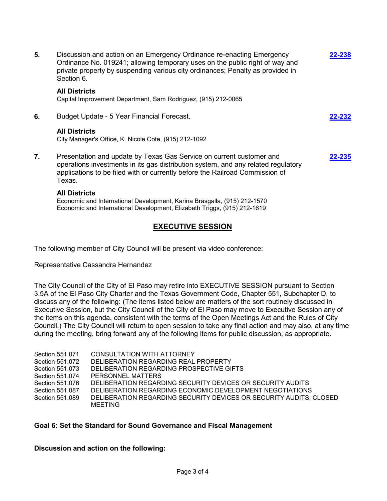| 5. | Discussion and action on an Emergency Ordinance re-enacting Emergency<br>Ordinance No. 019241; allowing temporary uses on the public right of way and<br>private property by suspending various city ordinances; Penalty as provided in<br>Section 6. | 8238   |
|----|-------------------------------------------------------------------------------------------------------------------------------------------------------------------------------------------------------------------------------------------------------|--------|
|    | <b>All Districts</b><br>Capital Improvement Department, Sam Rodriguez, (915) 212-0065                                                                                                                                                                 |        |
| 6. | Budget Update - 5 Year Financial Forecast.                                                                                                                                                                                                            | 22-232 |
|    | <b>All Districts</b><br>City Manager's Office, K. Nicole Cote, (915) 212-1092                                                                                                                                                                         |        |
| 7. | Presentation and update by Texas Gas Service on current customer and<br>operations investments in its gas distribution system, and any related regulatory<br>applications to be filed with or currently before the Railroad Commission of<br>Texas.   | 22-235 |
|    | .                                                                                                                                                                                                                                                     |        |

### **All Districts**

Economic and International Development, Karina Brasgalla, (915) 212-1570 Economic and International Development, Elizabeth Triggs, (915) 212-1619

## **EXECUTIVE SESSION**

The following member of City Council will be present via video conference:

Representative Cassandra Hernandez

The City Council of the City of El Paso may retire into EXECUTIVE SESSION pursuant to Section 3.5A of the El Paso City Charter and the Texas Government Code, Chapter 551, Subchapter D, to discuss any of the following: (The items listed below are matters of the sort routinely discussed in Executive Session, but the City Council of the City of El Paso may move to Executive Session any of the items on this agenda, consistent with the terms of the Open Meetings Act and the Rules of City Council.) The City Council will return to open session to take any final action and may also, at any time during the meeting, bring forward any of the following items for public discussion, as appropriate.

| Section 551.071 | CONSULTATION WITH ATTORNEY                                         |
|-----------------|--------------------------------------------------------------------|
| Section 551.072 | DELIBERATION REGARDING REAL PROPERTY                               |
| Section 551.073 | DELIBERATION REGARDING PROSPECTIVE GIFTS                           |
| Section 551.074 | PERSONNEL MATTERS                                                  |
| Section 551.076 | DELIBERATION REGARDING SECURITY DEVICES OR SECURITY AUDITS         |
| Section 551,087 | DELIBERATION REGARDING ECONOMIC DEVELOPMENT NEGOTIATIONS           |
| Section 551,089 | DELIBERATION REGARDING SECURITY DEVICES OR SECURITY AUDITS; CLOSED |
|                 | MEETING                                                            |

### **Goal 6: Set the Standard for Sound Governance and Fiscal Management**

**Discussion and action on the following:**